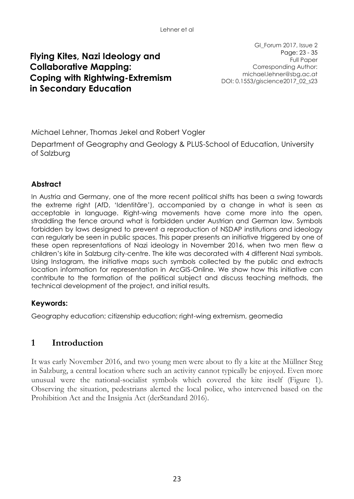# **Flying Kites, Nazi Ideology and Collaborative Mapping: Coping with Rightwing-Extremism in Secondary Education**

GI\_Forum 2017, Issue 2 Page: 23 - 35 Full Paper Corresponding Author: michael.lehner@sbg.ac.at DOI: 0.1553/giscience2017\_02\_s23

Michael Lehner, Thomas Jekel and Robert Vogler

Department of Geography and Geology & PLUS-School of Education, University of Salzburg

### **Abstract**

In Austria and Germany, one of the more recent political shifts has been a swing towards the extreme right (AfD, 'Identitäre'), accompanied by a change in what is seen as acceptable in language. Right-wing movements have come more into the open, straddling the fence around what is forbidden under Austrian and German law. Symbols forbidden by laws designed to prevent a reproduction of NSDAP institutions and ideology can regularly be seen in public spaces. This paper presents an initiative triggered by one of these open representations of Nazi ideology in November 2016, when two men flew a children's kite in Salzburg city-centre. The kite was decorated with 4 different Nazi symbols. Using Instagram, the initiative maps such symbols collected by the public and extracts location information for representation in ArcGIS-Online. We show how this initiative can contribute to the formation of the political subject and discuss teaching methods, the technical development of the project, and initial results.

### **Keywords:**

Geography education; citizenship education; right-wing extremism, geomedia

### **1 Introduction**

It was early November 2016, and two young men were about to fly a kite at the Müllner Steg in Salzburg, a central location where such an activity cannot typically be enjoyed. Even more unusual were the national-socialist symbols which covered the kite itself (Figure 1). Observing the situation, pedestrians alerted the local police, who intervened based on the Prohibition Act and the Insignia Act (derStandard 2016).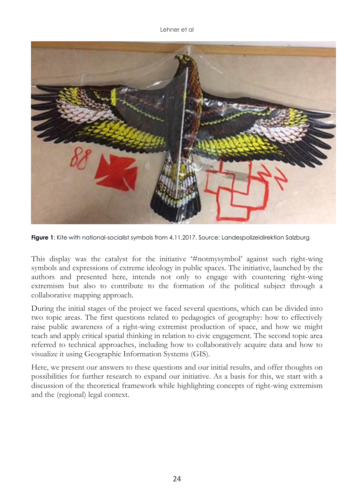

**Figure 1**: Kite with national-socialist symbols from 4.11.2017. Source: Landespolizeidirektion Salzburg

This display was the catalyst for the initiative '#notmysymbol' against such right-wing symbols and expressions of extreme ideology in public spaces. The initiative, launched by the authors and presented here, intends not only to engage with countering right-wing extremism but also to contribute to the formation of the political subject through a collaborative mapping approach.

During the initial stages of the project we faced several questions, which can be divided into two topic areas. The first questions related to pedagogics of geography: how to effectively raise public awareness of a right-wing extremist production of space, and how we might teach and apply critical spatial thinking in relation to civic engagement. The second topic area referred to technical approaches, including how to collaboratively acquire data and how to visualize it using Geographic Information Systems (GIS).

Here, we present our answers to these questions and our initial results, and offer thoughts on possibilities for further research to expand our initiative. As a basis for this, we start with a discussion of the theoretical framework while highlighting concepts of right-wing extremism and the (regional) legal context.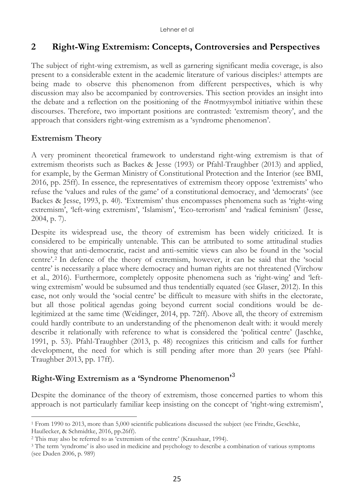## **2 Right-Wing Extremism: Concepts, Controversies and Perspectives**

The subject of right-wing extremism, as well as garnering significant media coverage, is also present to a considerable extent in the academic literature of various disciples: <sup>1</sup> attempts are being made to observe this phenomenon from different perspectives, which is why discussion may also be accompanied by controversies. This section provides an insight into the debate and a reflection on the positioning of the #notmysymbol initiative within these discourses. Therefore, two important positions are contrasted: 'extremism theory', and the approach that considers right-wing extremism as a 'syndrome phenomenon'.

### **Extremism Theory**

 $\overline{a}$ 

A very prominent theoretical framework to understand right-wing extremism is that of extremism theorists such as Backes & Jesse (1993) or Pfahl-Traughber (2013) and applied, for example, by the German Ministry of Constitutional Protection and the Interior (see BMI, 2016, pp. 25ff). In essence, the representatives of extremism theory oppose 'extremists' who refuse the 'values and rules of the game' of a constitutional democracy, and 'democrats' (see Backes & Jesse, 1993, p. 40). 'Extremism' thus encompasses phenomena such as 'right-wing extremism', 'left-wing extremism', 'Islamism', 'Eco-terrorism' and 'radical feminism' (Jesse, 2004, p. 7).

Despite its widespread use, the theory of extremism has been widely criticized. It is considered to be empirically untenable. This can be attributed to some attitudinal studies showing that anti-democratic, racist and anti-semitic views can also be found in the 'social centre'. <sup>2</sup> In defence of the theory of extremism, however, it can be said that the 'social centre' is necessarily a place where democracy and human rights are not threatened (Virchow et al., 2016). Furthermore, completely opposite phenomena such as 'right-wing' and 'leftwing extremism' would be subsumed and thus tendentially equated (see Glaser, 2012). In this case, not only would the 'social centre' be difficult to measure with shifts in the electorate, but all those political agendas going beyond current social conditions would be delegitimized at the same time (Weidinger, 2014, pp. 72ff). Above all, the theory of extremism could hardly contribute to an understanding of the phenomenon dealt with: it would merely describe it relationally with reference to what is considered the 'political centre' (Jaschke, 1991, p. 53). Pfahl-Traughber (2013, p. 48) recognizes this criticism and calls for further development, the need for which is still pending after more than 20 years (see Pfahl-Traughber 2013, pp. 17ff).

# **Right-Wing Extremism as a 'Syndrome Phenomenon'** 3

Despite the dominance of the theory of extremism, those concerned parties to whom this approach is not particularly familiar keep insisting on the concept of 'right-wing extremism',

<sup>1</sup> From 1990 to 2013, more than 5,000 scientific publications discussed the subject (see Frindte, Geschke, Haußecker, & Schmidtke, 2016, pp.26ff).

<sup>2</sup> This may also be referred to as 'extremism of the centre' (Kraushaar, 1994).

<sup>&</sup>lt;sup>3</sup> The term 'syndrome' is also used in medicine and psychology to describe a combination of various symptoms (see Duden 2006, p. 989)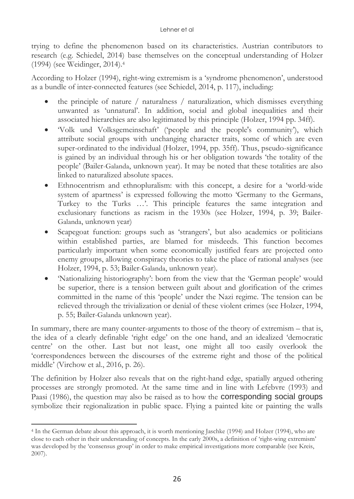trying to define the phenomenon based on its characteristics. Austrian contributors to research (e.g. Schiedel, 2014) base themselves on the conceptual understanding of Holzer (1994) (see Weidinger, 2014). 4

According to Holzer (1994), right-wing extremism is a 'syndrome phenomenon', understood as a bundle of inter-connected features (see Schiedel, 2014, p. 117), including:

- the principle of nature / naturalness / naturalization, which dismisses everything unwanted as 'unnatural'. In addition, social and global inequalities and their associated hierarchies are also legitimated by this principle (Holzer, 1994 pp. 34ff).
- 'Volk und Volksgemeinschaft' ('people and the people's community'), which attribute social groups with unchanging character traits, some of which are even super-ordinated to the individual (Holzer, 1994, pp. 35ff). Thus, pseudo-significance is gained by an individual through his or her obligation towards 'the totality of the people' (Bailer-Galanda, unknown year). It may be noted that these totalities are also linked to naturalized absolute spaces.
- Ethnocentrism and ethnopluralism: with this concept, a desire for a 'world-wide system of apartness' is expressed following the motto 'Germany to the Germans, Turkey to the Turks …'. This principle features the same integration and exclusionary functions as racism in the 1930s (see Holzer, 1994, p. 39; Bailer-Galanda, unknown year)
- Scapegoat function: groups such as 'strangers', but also academics or politicians within established parties, are blamed for misdeeds. This function becomes particularly important when some economically justified fears are projected onto enemy groups, allowing conspiracy theories to take the place of rational analyses (see Holzer, 1994, p. 53; Bailer-Galanda, unknown year).
- 'Nationalizing historiography': born from the view that the 'German people' would be superior, there is a tension between guilt about and glorification of the crimes committed in the name of this 'people' under the Nazi regime. The tension can be relieved through the trivialization or denial of these violent crimes (see Holzer, 1994, p. 55; Bailer-Galanda unknown year).

In summary, there are many counter-arguments to those of the theory of extremism – that is, the idea of a clearly definable 'right edge' on the one hand, and an idealized 'democratic centre' on the other. Last but not least, one might all too easily overlook the 'correspondences between the discourses of the extreme right and those of the political middle' (Virchow et al., 2016, p. 26).

The definition by Holzer also reveals that on the right-hand edge, spatially argued othering processes are strongly promoted. At the same time and in line with Lefebvre (1993) and Paasi (1986), the question may also be raised as to how the **corresponding social groups** symbolize their regionalization in public space. Flying a painted kite or painting the walls

 $\overline{a}$ <sup>4</sup> In the German debate about this approach, it is worth mentioning Jaschke (1994) and Holzer (1994), who are close to each other in their understanding of concepts. In the early 2000s, a definition of 'right-wing extremism' was developed by the 'consensus group' in order to make empirical investigations more comparable (see Kreis, 2007).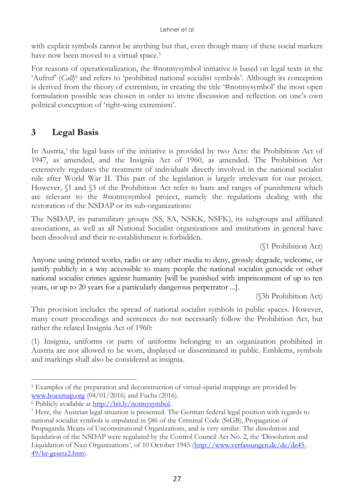with explicit symbols cannot be anything but that, even though many of these social markers have now been moved to a virtual space. 5

For reasons of operationalization, the #notmysymbol initiative is based on legal texts in the 'Aufruf' (*Call*) <sup>6</sup> and refers to 'prohibited national socialist symbols'. Although its conception is derived from the theory of extremism, in creating the title '#notmysymbol' the most open formulation possible was chosen in order to invite discussion and reflection on one's own political conception of 'right-wing extremism'.

# **3 Legal Basis**

In Austria,<sup>7</sup> the legal basis of the initiative is provided by two Acts: the Prohibition Act of 1947, as amended, and the Insignia Act of 1960, as amended. The Prohibition Act extensively regulates the treatment of individuals directly involved in the national socialist rule after World War II. This part of the legislation is largely irrelevant for our project. However,  $$1$  and  $$3$  of the Prohibition Act refer to bans and ranges of punishment which are relevant to the #notmysymbol project, namely the regulations dealing with the restoration of the NSDAP or its sub-organizations:

The NSDAP, its paramilitary groups (SS, SA, NSKK, NSFK), its subgroups and affiliated associations, as well as all National Socialist organizations and institutions in general have been dissolved and their re-establishment is forbidden.

(§1 Prohibition Act)

Anyone using printed works, radio or any other media to deny, grossly degrade, welcome, or justify publicly in a way accessible to many people the national socialist genocide or other national socialist crimes against humanity [will be punished with imprisonment of up to ten years, or up to 20 years for a particularly dangerous perpetrator ...].

(§3h Prohibition Act)

This provision includes the spread of national socialist symbols in public spaces. However, many court proceedings and sentences do not necessarily follow the Prohibition Act, but rather the related Insignia Act of 1960:

(1) Insignia, uniforms or parts of uniforms belonging to an organization prohibited in Austria are not allowed to be worn, displayed or disseminated in public. Emblems, symbols and markings shall also be considered as insignia.

 $\overline{a}$ <sup>5</sup> Examples of the preparation and deconstruction of virtual-spatial mappings are provided by [www.hoaxmap.org](http://www.hoaxmap.org/) (04/01/2016) and Fuchs (2016).

<sup>&</sup>lt;sup>6</sup> Publicly available at [http://bit.ly/notmysymbol.](http://bit.ly/notmysymbol)

<sup>7</sup> Here, the Austrian legal situation is presented. The German federal legal position with regards to national socialist symbols is stipulated in §86 of the Criminal Code (StGB), Propagation of Propaganda Means of Unconstitutional Organizations, and is very similar. The dissolution and liquidation of the NSDAP were regulated by the Control Council Act No. 2, the 'Dissolution and Liquidation of Nazi Organizations', of 10 October 1945 [\(http://www.verfassungen.de/de/de45-](http://www.verfassungen.de/de/de45-49/kr-gesetz2.htm)  $49/\text{kr-}\text{gesetz2.htm}$ .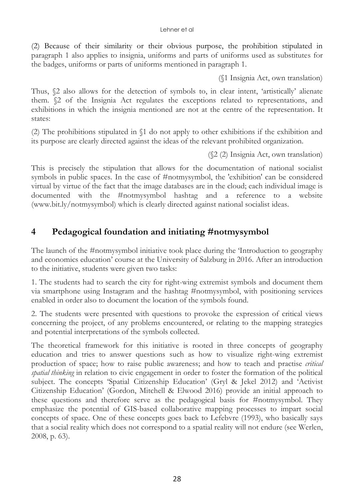(2) Because of their similarity or their obvious purpose, the prohibition stipulated in paragraph 1 also applies to insignia, uniforms and parts of uniforms used as substitutes for the badges, uniforms or parts of uniforms mentioned in paragraph 1.

(§1 Insignia Act, own translation)

Thus, §2 also allows for the detection of symbols to, in clear intent, 'artistically' alienate them. §2 of the Insignia Act regulates the exceptions related to representations, and exhibitions in which the insignia mentioned are not at the centre of the representation. It states:

(2) The prohibitions stipulated in §1 do not apply to other exhibitions if the exhibition and its purpose are clearly directed against the ideas of the relevant prohibited organization.

(§2 (2) Insignia Act, own translation)

This is precisely the stipulation that allows for the documentation of national socialist symbols in public spaces. In the case of #notmysymbol, the 'exhibition' can be considered virtual by virtue of the fact that the image databases are in the cloud; each individual image is documented with the #notmysymbol hashtag and a reference to a website (www.bit.ly/notmysymbol) which is clearly directed against national socialist ideas.

## **4 Pedagogical foundation and initiating #notmysymbol**

The launch of the #notmysymbol initiative took place during the 'Introduction to geography and economics education' course at the University of Salzburg in 2016. After an introduction to the initiative, students were given two tasks:

1. The students had to search the city for right-wing extremist symbols and document them via smartphone using Instagram and the hashtag #notmysymbol, with positioning services enabled in order also to document the location of the symbols found.

2. The students were presented with questions to provoke the expression of critical views concerning the project, of any problems encountered, or relating to the mapping strategies and potential interpretations of the symbols collected.

The theoretical framework for this initiative is rooted in three concepts of geography education and tries to answer questions such as how to visualize right-wing extremist production of space; how to raise public awareness; and how to teach and practise *critical spatial thinking* in relation to civic engagement in order to foster the formation of the political subject. The concepts 'Spatial Citizenship Education' (Gryl & Jekel 2012) and 'Activist Citizenship Education' (Gordon, Mitchell & Elwood 2016) provide an initial approach to these questions and therefore serve as the pedagogical basis for #notmysymbol. They emphasize the potential of GIS-based collaborative mapping processes to impart social concepts of space. One of these concepts goes back to Lefebvre (1993), who basically says that a social reality which does not correspond to a spatial reality will not endure (see Werlen, 2008, p. 63).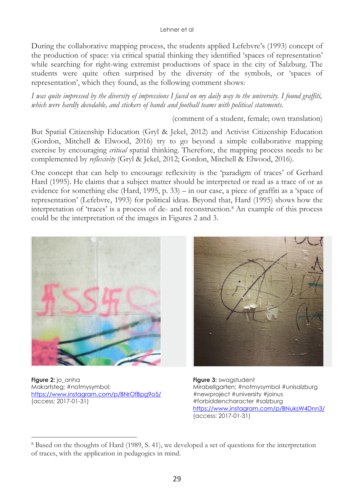During the collaborative mapping process, the students applied Lefebvre's (1993) concept of the production of space: via critical spatial thinking they identified 'spaces of representation' while searching for right-wing extremist productions of space in the city of Salzburg. The students were quite often surprised by the diversity of the symbols, or 'spaces of representation', which they found, as the following comment shows:

*I was quite impressed by the diversity of impressions I faced on my daily way to the university. I found graffiti, which were hardly decodable, and stickers of bands and football teams with political statements.*

(comment of a student, female; own translation)

But Spatial Citizenship Education (Gryl & Jekel, 2012) and Activist Citizenship Education (Gordon, Mitchell & Elwood, 2016) try to go beyond a simple collaborative mapping exercise by encouraging *critical* spatial thinking. Therefore, the mapping process needs to be complemented by *reflexivity* (Gryl & Jekel, 2012; Gordon, Mitchell & Elwood, 2016).

One concept that can help to encourage reflexivity is the 'paradigm of traces' of Gerhard Hard (1995). He claims that a subject matter should be interpreted or read as a trace of or as evidence for something else (Hard, 1995, p. 33) – in our case, a piece of graffiti as a 'space of representation' (Lefebvre, 1993) for political ideas. Beyond that, Hard (1995) shows how the interpretation of 'traces' is a process of de- and reconstruction.<sup>8</sup> An example of this process could be the interpretation of the images in Figures 2 and 3.



**Figure 2:** jo\_anha Makartsteg; #notmysymbol; https://www.instagram.com/p/BNrOfBpa9o5/ (access: 2017-01-31)

 $\overline{a}$ 



**Figure 3:** swagstudent Mirabellgarten; #notmysymbol #unisalzburg #newproject #university #joinus #forbiddencharacter #salzburg <https://www.instagram.com/p/BNuksW4Dnn3/> (access: 2017-01-31)

<sup>8</sup> Based on the thoughts of Hard (1989, S. 41), we developed a set of questions for the interpretation of traces, with the application in pedagogics in mind.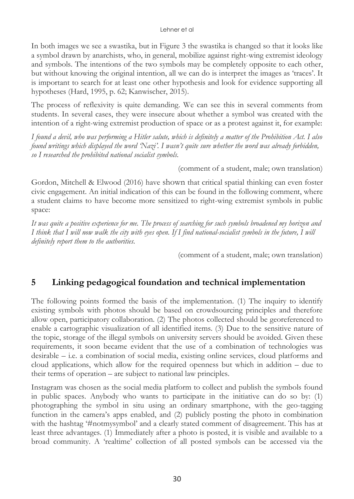In both images we see a swastika, but in Figure 3 the swastika is changed so that it looks like a symbol drawn by anarchists, who, in general, mobilize against right-wing extremist ideology and symbols. The intentions of the two symbols may be completely opposite to each other, but without knowing the original intention, all we can do is interpret the images as 'traces'. It is important to search for at least one other hypothesis and look for evidence supporting all hypotheses (Hard, 1995, p. 62; Kanwischer, 2015).

The process of reflexivity is quite demanding. We can see this in several comments from students. In several cases, they were insecure about whether a symbol was created with the intention of a right-wing extremist production of space or as a protest against it, for example:

*I found a devil, who was performing a Hitler salute, which is definitely a matter of the Prohibition Act. I also found writings which displayed the word 'Nazi'. I wasn't quite sure whether the word was already forbidden, so I researched the prohibited national socialist symbols.*

(comment of a student, male; own translation)

Gordon, Mitchell & Elwood (2016) have shown that critical spatial thinking can even foster civic engagement. An initial indication of this can be found in the following comment, where a student claims to have become more sensitized to right-wing extremist symbols in public space:

*It was quite a positive experience for me. The process of searching for such symbols broadened my horizon and I think that I will now walk the city with eyes open. If I find national-socialist symbols in the future, I will definitely report them to the authorities.*

(comment of a student, male; own translation)

### **5 Linking pedagogical foundation and technical implementation**

The following points formed the basis of the implementation. (1) The inquiry to identify existing symbols with photos should be based on crowdsourcing principles and therefore allow open, participatory collaboration. (2) The photos collected should be georeferenced to enable a cartographic visualization of all identified items. (3) Due to the sensitive nature of the topic, storage of the illegal symbols on university servers should be avoided. Given these requirements, it soon became evident that the use of a combination of technologies was desirable – i.e. a combination of social media, existing online services, cloud platforms and cloud applications, which allow for the required openness but which in addition – due to their terms of operation – are subject to national law principles.

Instagram was chosen as the social media platform to collect and publish the symbols found in public spaces. Anybody who wants to participate in the initiative can do so by: (1) photographing the symbol in situ using an ordinary smartphone, with the geo-tagging function in the camera's apps enabled, and (2) publicly posting the photo in combination with the hashtag '#notmysymbol' and a clearly stated comment of disagreement. This has at least three advantages. (1) Immediately after a photo is posted, it is visible and available to a broad community. A 'realtime' collection of all posted symbols can be accessed via the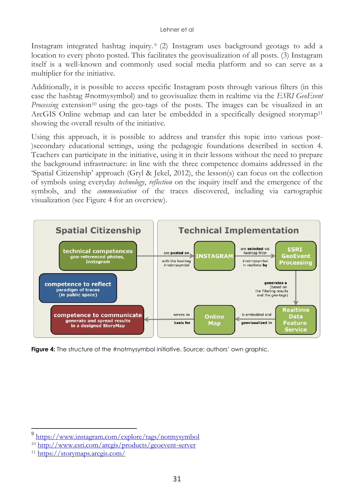Instagram integrated hashtag inquiry. <sup>9</sup> (2) Instagram uses background geotags to add a location to every photo posted. This facilitates the geovisualization of all posts. (3) Instagram itself is a well-known and commonly used social media platform and so can serve as a multiplier for the initiative.

Additionally, it is possible to access specific Instagram posts through various filters (in this case the hashtag #notmysymbol) and to geovisualize them in realtime via the *ESRI GeoEvent Processing* extension<sup>10</sup> using the geo-tags of the posts. The images can be visualized in an ArcGIS Online webmap and can later be embedded in a specifically designed storymap<sup>11</sup> showing the overall results of the initiative.

Using this approach, it is possible to address and transfer this topic into various post- )secondary educational settings, using the pedagogic foundations described in section 4. Teachers can participate in the initiative, using it in their lessons without the need to prepare the background infrastructure: in line with the three competence domains addressed in the 'Spatial Citizenship' approach (Gryl & Jekel, 2012), the lesson(s) can focus on the collection of symbols using everyday *technology*, *reflection* on the inquiry itself and the emergence of the symbols, and the *communication* of the traces discovered, including via cartographic visualization (see Figure 4 for an overview).



**Figure 4:** The structure of the #notmysymbol initiative. Source: authors' own graphic.

 $\overline{a}$ 

<sup>9</sup> <https://www.instagram.com/explore/tags/notmysymbol>

<sup>10</sup> <http://www.esri.com/arcgis/products/geoevent-server>

<sup>11</sup> <https://storymaps.arcgis.com/>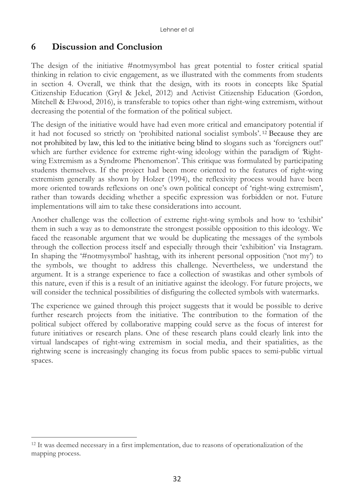## **6 Discussion and Conclusion**

The design of the initiative #notmysymbol has great potential to foster critical spatial thinking in relation to civic engagement, as we illustrated with the comments from students in section 4. Overall, we think that the design, with its roots in concepts like Spatial Citizenship Education (Gryl & Jekel, 2012) and Activist Citizenship Education (Gordon, Mitchell & Elwood, 2016), is transferable to topics other than right-wing extremism, without decreasing the potential of the formation of the political subject.

The design of the initiative would have had even more critical and emancipatory potential if it had not focused so strictly on 'prohibited national socialist symbols'. <sup>12</sup> Because they are not prohibited by law, this led to the initiative being blind to slogans such as 'foreigners out!' which are further evidence for extreme right-wing ideology within the paradigm of Rightwing Extremism as a Syndrome Phenomenon'. This critique was formulated by participating students themselves. If the project had been more oriented to the features of right-wing extremism generally as shown by Holzer (1994), the reflexivity process would have been more oriented towards reflexions on one's own political concept of 'right-wing extremism', rather than towards deciding whether a specific expression was forbidden or not. Future implementations will aim to take these considerations into account.

Another challenge was the collection of extreme right-wing symbols and how to 'exhibit' them in such a way as to demonstrate the strongest possible opposition to this ideology. We faced the reasonable argument that we would be duplicating the messages of the symbols through the collection process itself and especially through their 'exhibition' via Instagram. In shaping the '#notmysymbol' hashtag, with its inherent personal opposition ('not my') to the symbols, we thought to address this challenge. Nevertheless, we understand the argument. It is a strange experience to face a collection of swastikas and other symbols of this nature, even if this is a result of an initiative against the ideology. For future projects, we will consider the technical possibilities of disfiguring the collected symbols with watermarks.

The experience we gained through this project suggests that it would be possible to derive further research projects from the initiative. The contribution to the formation of the political subject offered by collaborative mapping could serve as the focus of interest for future initiatives or research plans. One of these research plans could clearly link into the virtual landscapes of right-wing extremism in social media, and their spatialities, as the rightwing scene is increasingly changing its focus from public spaces to semi-public virtual spaces.

 $\overline{a}$ 

<sup>&</sup>lt;sup>12</sup> It was deemed necessary in a first implementation, due to reasons of operationalization of the mapping process.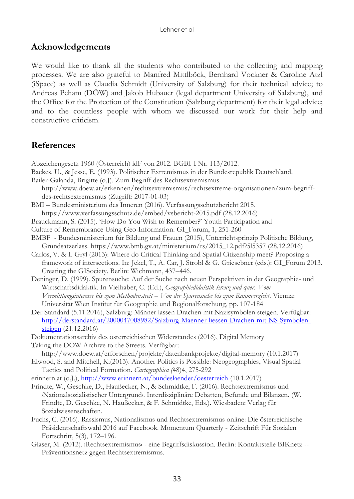### **Acknowledgements**

We would like to thank all the students who contributed to the collecting and mapping processes. We are also grateful to Manfred Mittlböck, Bernhard Vockner & Caroline Atzl (iSpace) as well as Claudia Schmidt (University of Salzburg) for their technical advice; to Andreas Peham (DÖW) and Jakob Hubauer (legal department University of Salzburg), and the Office for the Protection of the Constitution (Salzburg department) for their legal advice; and to the countless people with whom we discussed our work for their help and constructive criticism.

# **References**

Abzeichengesetz 1960 (Österreich) idF von 2012. BGBl. I Nr. 113/2012.

- Backes, U., & Jesse, E. (1993). Politischer Extremismus in der Bundesrepublik Deutschland.
- Bailer-Galanda, Brigitte (o.J). Zum Begriff des Rechtsextremismus.
- http://www.doew.at/erkennen/rechtsextremismus/rechtsextreme-organisationen/zum-begriffdes-rechtsextremismus (Zugriff: 2017-01-03)
- BMI Bundesministerium des Inneren (2016). Verfassungsschutzbericht 2015.
- <https://www.verfassungsschutz.de/embed/vsbericht-2015.pdf> (28.12.2016)
- Brauckmann, S. (2015). 'How Do You Wish to Remember?' Youth Participation and
- Culture of Remembrance Using Geo-Information. GI\_Forum, 1, 251-260
- BMBF Bundesministerium für Bildung und Frauen (2015), Unterrichtsprinzip Politische Bildung, Grundsatzerlass. [https://www.bmb.gv.at/ministerium/rs/2015\\_12.pdf?5l5357](https://www.bmb.gv.at/ministerium/rs/2015_12.pdf?5l5357) (28.12.2016)
- Carlos, V. & I. Gryl (2013): Where do Critical Thinking and Spatial Citizenship meet? Proposing a framework of intersections. In: Jekel, T., A. Car, J. Strobl & G. Griesebner (eds.): GI\_Forum 2013. Creating the GISociety. Berlin: Wichmann, 437–446.
- Deninger, D. (1999). Spurensuche: Auf der Suche nach neuen Perspektiven in der Geographie- und Wirtschaftsdidaktik. In Vielhaber, C. (Ed.), *Geographiedidaktik kreuz und quer. Vom Vermittlungsinteresse bis zum Methodenstreit – Von der Spurensuche bis zum Raumverzicht*. Vienna: Universität Wien Institut für Geographie und Regionalforschung, pp. 107-184
- Der Standard (5.11.2016), Salzburg: Männer lassen Drachen mit Nazisymbolen steigen. Verfügbar: [http://derstandard.at/2000047008982/Salzburg-Maenner-liessen-Drachen-mit-NS-Symbolen](http://dersta/)[steigen](http://dersta/) (21.12.2016)
- Dokumentationsarchiv des österreichischen Widerstandes (2016), Digital Memory
- Taking the DÖW Archive to the Streets. Verfügbar: http://www.doew.at/erforschen/projekte/datenbankprojekte/digital-memory (10.1.2017)
- Elwood, S. and Mitchell, K.(2013). Another Politics is Possible: Neogeographies, Visual Spatial Tactics and Political Formation. *Cartographica (*48)4, 275-292
- erinnern.at (o.J.),<http://www.erinnern.at/bundeslaender/oesterreich> (10.1.2017)
- Frindte, W., Geschke, D., Haußecker, N., & Schmidtke, F. (2016). Rechtsextremismus und ›Nationalsozialistischer Untergrund‹. Interdisziplinäre Debatten, Befunde und Bilanzen. (W. Frindte, D. Geschke, N. Haußecker, & F. Schmidtke, Eds.). Wiesbaden: Verlag für Sozialwissenschaften.
- Fuchs, C. (2016). Rassismus, Nationalismus und Rechtsextremismus online: Die österreichische Präsidentschaftswahl 2016 auf Facebook. Momentum Quarterly - Zeitschrift Für Sozialen Fortschritt, 5(3), 172–196.
- Glaser, M. (2012). ›Rechtsextremismus‹ eine Begriffsdiskussion. Berlin: Kontaktstelle BIKnetz -- Präventionsnetz gegen Rechtsextremismus.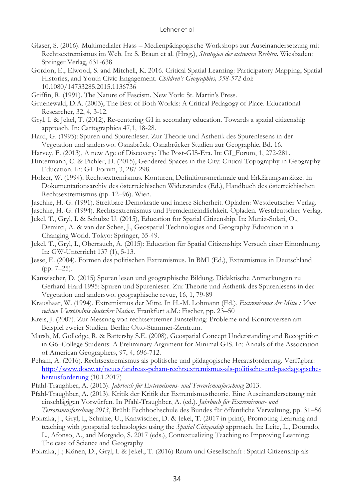- Glaser, S. (2016). Multimedialer Hass Medienpädagogische Workshops zur Auseinandersetzung mit Rechtsextremismus im Web. In: S. Braun et al. (Hrsg.), *Strategien der extremen Rechten*. Wiesbaden: Springer Verlag, 631-638
- Gordon, E., Elwood, S. and Mitchell, K. 2016. Critical Spatial Learning: Participatory Mapping, Spatial Histories, and Youth Civic Engagement. *Children's Geographies, 558-572* doi: 10.1080/14733285.2015.1136736
- Griffin, R. (1991). The Nature of Fascism. New York: St. Martin's Press.
- Gruenewald, D.A. (2003), The Best of Both Worlds: A Critical Pedagogy of Place. Educational Researcher, 32, 4, 3-12.
- Gryl, I. & Jekel, T. (2012), Re-centering GI in secondary education. Towards a spatial citizenship approach. In: Cartographica 47,1, 18-28.
- Hard, G. (1995): Spuren und Spurenleser. Zur Theorie und Ästhetik des Spurenlesens in der Vegetation und anderswo. Osnabrück. Osnabrücker Studien zur Geographie, Bd. 16.
- Harvey, F. (2013), A new Age of Discovery: The Post-GIS-Era. In: GI\_Forum, 1, 272-281.
- Hintermann, C. & Pichler, H. (2015), Gendered Spaces in the City: Critical Topography in Geography Education. In: GI\_Forum, 3, 287-298.
- Holzer, W. (1994). Rechtsextremismus. Konturen, Definitionsmerkmale und Erklärungsansätze. In Dokumentationsarchiv des österreichischen Widerstandes (Ed.), Handbuch des österreichischen Rechtsextremismus (pp. 12–96). Wien.
- Jaschke, H.-G. (1991). Streitbare Demokratie und innere Sicherheit. Opladen: Westdeutscher Verlag.
- Jaschke, H.-G. (1994). Rechtsextremismus und Fremdenfeindlichkeit. Opladen. Westdeutscher Verlag.
- Jekel, T., Gryl, I. & Schulze U. (2015), Education for Spatial Citizenship. In: Muniz-Solari, O., Demirci, A. & van der Schee, J., Geospatial Technologies and Geography Education in a Changing World. Tokyo: Springer, 35-49.
- Jekel, T., Gryl, I., Oberrauch, A. (2015): Education für Spatial Citizenship: Versuch einer Einordnung. In: GW-Unterricht 137 (1), 5-13.
- Jesse, E. (2004). Formen des politischen Extremismus. In BMI (Ed.), Extremismus in Deutschland (pp. 7–25).
- Kanwischer, D. (2015) Spuren lesen und geographische Bildung. Didaktische Anmerkungen zu Gerhard Hard 1995: Spuren und Spurenleser. Zur Theorie und Ästhetik des Spurenlesens in der Vegetation und anderswo. geographische revue, 16, 1, 79-89
- Kraushaar, W. (1994). Extremismus der Mitte. In H.-M. Lohmann (Ed.), *Extremismus der Mitte : Vom rechten Verständnis deutscher Nation*. Frankfurt a.M.: Fischer, pp. 23–50
- Kreis, J. (2007). Zur Messung von rechtsextremer Einstellung: Probleme und Kontroversen am Beispiel zweier Studien. Berlin: Otto-Stammer-Zentrum.
- Marsh, M, Golledge, R. & Battersby S.E. (2008), Geospatial Concept Understanding and Recognition in G6–College Students: A Preliminary Argument for Minimal GIS. In: Annals of the Association of American Geographers, 97, 4, 696-712.
- Peham, A. (2016). Rechtsextremismus als politische und pädagogische Herausforderung. Verfügbar: [http://www.doew.at/neues/andreas-peham-rechtsextremismus-als-politische-und-paedagogische](http://www.doew.at/neues/andreas-peham-rechtsextremismus-als-politische-und-paedagogische-herausforderung)[herausforderung](http://www.doew.at/neues/andreas-peham-rechtsextremismus-als-politische-und-paedagogische-herausforderung) (10.1.2017)
- Pfahl-Traughber, A. (2013). *Jahrbuch für Extremismus- und Terrorismusforschung* 2013.
- Pfahl-Traughber, A. (2013). Kritik der Kritik der Extremismustheorie. Eine Auseinandersetzung mit einschlägigen Vorwürfen. In Pfahl-Traughber, A. (ed.). *Jahrbuch für Extremismus- und Terrorismusforschung 2013*, Brühl: Fachhochschule des Bundes für öffentliche Verwaltung, pp. 31–56
- Pokraka, J., Gryl, I,, Schulze, U., Kanwischer, D. & Jekel, T. (2017 in print), Promoting Learning and teaching with geospatial technologies using the *Spatial Citizenship* approach. In: Leite, L., Dourado, L., Afonso, A., and Morgado, S. 2017 (eds.), Contextualizing Teaching to Improving Learning: The case of Science and Geography
- Pokraka, J.; Könen, D., Gryl, I. & Jekel., T. (2016) Raum und Gesellschaft : Spatial Citizenship als